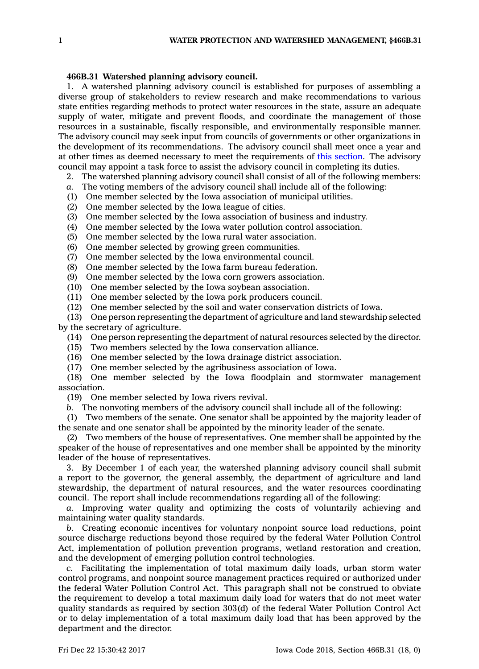## **466B.31 Watershed planning advisory council.**

1. A watershed planning advisory council is established for purposes of assembling <sup>a</sup> diverse group of stakeholders to review research and make recommendations to various state entities regarding methods to protect water resources in the state, assure an adequate supply of water, mitigate and prevent floods, and coordinate the management of those resources in <sup>a</sup> sustainable, fiscally responsible, and environmentally responsible manner. The advisory council may seek input from councils of governments or other organizations in the development of its recommendations. The advisory council shall meet once <sup>a</sup> year and at other times as deemed necessary to meet the requirements of this [section](https://www.legis.iowa.gov/docs/code/466B.31.pdf). The advisory council may appoint <sup>a</sup> task force to assist the advisory council in completing its duties.

2. The watershed planning advisory council shall consist of all of the following members:

- *a.* The voting members of the advisory council shall include all of the following:
- (1) One member selected by the Iowa association of municipal utilities.
- (2) One member selected by the Iowa league of cities.
- (3) One member selected by the Iowa association of business and industry.
- $(4)$  One member selected by the Iowa water pollution control association.
- (5) One member selected by the Iowa rural water association.
- (6) One member selected by growing green communities.
- (7) One member selected by the Iowa environmental council.
- (8) One member selected by the Iowa farm bureau federation.
- (9) One member selected by the Iowa corn growers association.
- (10) One member selected by the Iowa soybean association.
- (11) One member selected by the Iowa pork producers council.
- (12) One member selected by the soil and water conservation districts of Iowa.
- (13) One person representing the department of agriculture and land stewardship selected by the secretary of agriculture.
	- (14) One person representing the department of natural resources selected by the director.
	- (15) Two members selected by the Iowa conservation alliance.
	- (16) One member selected by the Iowa drainage district association.
	- (17) One member selected by the agribusiness association of Iowa.
- (18) One member selected by the Iowa floodplain and stormwater management association.
	- (19) One member selected by Iowa rivers revival.
	- *b.* The nonvoting members of the advisory council shall include all of the following:
- (1) Two members of the senate. One senator shall be appointed by the majority leader of the senate and one senator shall be appointed by the minority leader of the senate.
- (2) Two members of the house of representatives. One member shall be appointed by the speaker of the house of representatives and one member shall be appointed by the minority leader of the house of representatives.

3. By December 1 of each year, the watershed planning advisory council shall submit <sup>a</sup> report to the governor, the general assembly, the department of agriculture and land stewardship, the department of natural resources, and the water resources coordinating council. The report shall include recommendations regarding all of the following:

*a.* Improving water quality and optimizing the costs of voluntarily achieving and maintaining water quality standards.

*b.* Creating economic incentives for voluntary nonpoint source load reductions, point source discharge reductions beyond those required by the federal Water Pollution Control Act, implementation of pollution prevention programs, wetland restoration and creation, and the development of emerging pollution control technologies.

*c.* Facilitating the implementation of total maximum daily loads, urban storm water control programs, and nonpoint source management practices required or authorized under the federal Water Pollution Control Act. This paragraph shall not be construed to obviate the requirement to develop <sup>a</sup> total maximum daily load for waters that do not meet water quality standards as required by section 303(d) of the federal Water Pollution Control Act or to delay implementation of <sup>a</sup> total maximum daily load that has been approved by the department and the director.